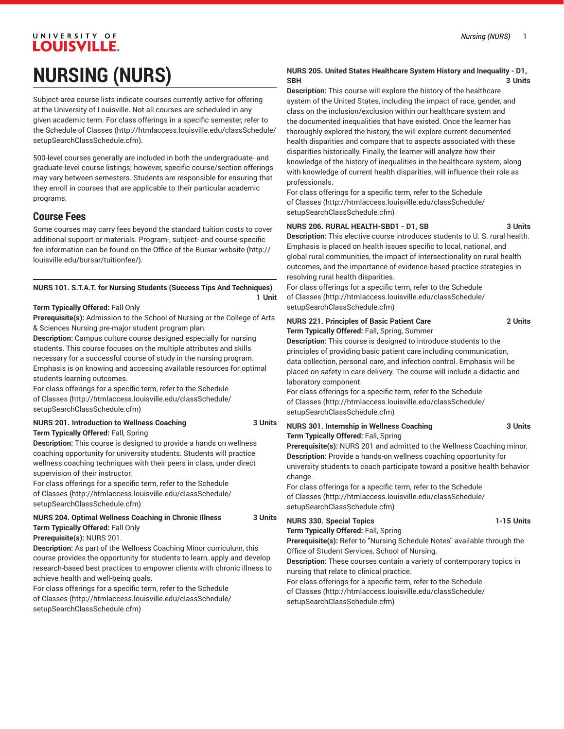# UNIVERSITY OF **LOUISVILLE. NURSING (NURS)**

Subject-area course lists indicate courses currently active for offering at the University of Louisville. Not all courses are scheduled in any given academic term. For class offerings in a specific semester, refer to the [Schedule of Classes](http://htmlaccess.louisville.edu/classSchedule/setupSearchClassSchedule.cfm) ([http://htmlaccess.louisville.edu/classSchedule/](http://htmlaccess.louisville.edu/classSchedule/setupSearchClassSchedule.cfm) [setupSearchClassSchedule.cfm\)](http://htmlaccess.louisville.edu/classSchedule/setupSearchClassSchedule.cfm).

500-level courses generally are included in both the undergraduate- and graduate-level course listings; however, specific course/section offerings may vary between semesters. Students are responsible for ensuring that they enroll in courses that are applicable to their particular academic programs.

### **Course Fees**

Some courses may carry fees beyond the standard tuition costs to cover additional support or materials. Program-, subject- and course-specific fee information can be found on the [Office of the Bursar website](http://louisville.edu/bursar/tuitionfee/) ([http://](http://louisville.edu/bursar/tuitionfee/) [louisville.edu/bursar/tuitionfee/](http://louisville.edu/bursar/tuitionfee/)).

#### **NURS 101. S.T.A.T. for Nursing Students (Success Tips And Techniques) 1 Unit**

#### **Term Typically Offered:** Fall Only

**Prerequisite(s):** Admission to the School of Nursing or the College of Arts & Sciences Nursing pre-major student program plan.

**Description:** Campus culture course designed especially for nursing students. This course focuses on the multiple attributes and skills necessary for a successful course of study in the nursing program. Emphasis is on knowing and accessing available resources for optimal students learning outcomes.

For class offerings for a specific term, refer to the [Schedule](http://htmlaccess.louisville.edu/classSchedule/setupSearchClassSchedule.cfm) [of Classes \(http://htmlaccess.louisville.edu/classSchedule/](http://htmlaccess.louisville.edu/classSchedule/setupSearchClassSchedule.cfm) [setupSearchClassSchedule.cfm\)](http://htmlaccess.louisville.edu/classSchedule/setupSearchClassSchedule.cfm)

**NURS 201. Introduction to Wellness Coaching 3 Units**

**Term Typically Offered:** Fall, Spring

**Description:** This course is designed to provide a hands on wellness coaching opportunity for university students. Students will practice wellness coaching techniques with their peers in class, under direct supervision of their instructor.

For class offerings for a specific term, refer to the [Schedule](http://htmlaccess.louisville.edu/classSchedule/setupSearchClassSchedule.cfm) [of Classes \(http://htmlaccess.louisville.edu/classSchedule/](http://htmlaccess.louisville.edu/classSchedule/setupSearchClassSchedule.cfm) [setupSearchClassSchedule.cfm\)](http://htmlaccess.louisville.edu/classSchedule/setupSearchClassSchedule.cfm)

### **NURS 204. Optimal Wellness Coaching in Chronic Illness 3 Units Term Typically Offered:** Fall Only

**Prerequisite(s):** NURS 201.

**Description:** As part of the Wellness Coaching Minor curriculum, this course provides the opportunity for students to learn, apply and develop research-based best practices to empower clients with chronic illness to achieve health and well-being goals.

For class offerings for a specific term, refer to the [Schedule](http://htmlaccess.louisville.edu/classSchedule/setupSearchClassSchedule.cfm) [of Classes \(http://htmlaccess.louisville.edu/classSchedule/](http://htmlaccess.louisville.edu/classSchedule/setupSearchClassSchedule.cfm) [setupSearchClassSchedule.cfm\)](http://htmlaccess.louisville.edu/classSchedule/setupSearchClassSchedule.cfm)

#### **NURS 205. United States Healthcare System History and Inequality - D1, SBH** 3 Units

**Description:** This course will explore the history of the healthcare system of the United States, including the impact of race, gender, and class on the inclusion/exclusion within our healthcare system and the documented inequalities that have existed. Once the learner has thoroughly explored the history, the will explore current documented health disparities and compare that to aspects associated with these disparities historically. Finally, the learner will analyze how their knowledge of the history of inequalities in the healthcare system, along with knowledge of current health disparities, will influence their role as professionals.

For class offerings for a specific term, refer to the [Schedule](http://htmlaccess.louisville.edu/classSchedule/setupSearchClassSchedule.cfm) [of Classes](http://htmlaccess.louisville.edu/classSchedule/setupSearchClassSchedule.cfm) ([http://htmlaccess.louisville.edu/classSchedule/](http://htmlaccess.louisville.edu/classSchedule/setupSearchClassSchedule.cfm) [setupSearchClassSchedule.cfm\)](http://htmlaccess.louisville.edu/classSchedule/setupSearchClassSchedule.cfm)

### **NURS 206. RURAL HEALTH-SBD1 - D1, SB 3 Units**

**Description:** This elective course introduces students to U. S. rural health. Emphasis is placed on health issues specific to local, national, and global rural communities, the impact of intersectionality on rural health outcomes, and the importance of evidence-based practice strategies in resolving rural health disparities.

For class offerings for a specific term, refer to the [Schedule](http://htmlaccess.louisville.edu/classSchedule/setupSearchClassSchedule.cfm) [of Classes](http://htmlaccess.louisville.edu/classSchedule/setupSearchClassSchedule.cfm) ([http://htmlaccess.louisville.edu/classSchedule/](http://htmlaccess.louisville.edu/classSchedule/setupSearchClassSchedule.cfm) [setupSearchClassSchedule.cfm\)](http://htmlaccess.louisville.edu/classSchedule/setupSearchClassSchedule.cfm)

#### **NURS 221. Principles of Basic Patient Care 2 Units Term Typically Offered:** Fall, Spring, Summer

**Description:** This course is designed to introduce students to the principles of providing basic patient care including communication, data collection, personal care, and infection control. Emphasis will be placed on safety in care delivery. The course will include a didactic and laboratory component.

For class offerings for a specific term, refer to the [Schedule](http://htmlaccess.louisville.edu/classSchedule/setupSearchClassSchedule.cfm) [of Classes](http://htmlaccess.louisville.edu/classSchedule/setupSearchClassSchedule.cfm) ([http://htmlaccess.louisville.edu/classSchedule/](http://htmlaccess.louisville.edu/classSchedule/setupSearchClassSchedule.cfm) [setupSearchClassSchedule.cfm\)](http://htmlaccess.louisville.edu/classSchedule/setupSearchClassSchedule.cfm)

**NURS 301. Internship in Wellness Coaching 3 Units Term Typically Offered:** Fall, Spring

**Prerequisite(s):** NURS 201 and admitted to the Wellness Coaching minor. **Description:** Provide a hands-on wellness coaching opportunity for university students to coach participate toward a positive health behavior change.

For class offerings for a specific term, refer to the [Schedule](http://htmlaccess.louisville.edu/classSchedule/setupSearchClassSchedule.cfm) [of Classes](http://htmlaccess.louisville.edu/classSchedule/setupSearchClassSchedule.cfm) ([http://htmlaccess.louisville.edu/classSchedule/](http://htmlaccess.louisville.edu/classSchedule/setupSearchClassSchedule.cfm) [setupSearchClassSchedule.cfm\)](http://htmlaccess.louisville.edu/classSchedule/setupSearchClassSchedule.cfm)

**NURS 330. Special Topics 1-15 Units**

**Term Typically Offered:** Fall, Spring

**Prerequisite(s):** Refer to "Nursing Schedule Notes" available through the Office of Student Services, School of Nursing.

**Description:** These courses contain a variety of contemporary topics in nursing that relate to clinical practice.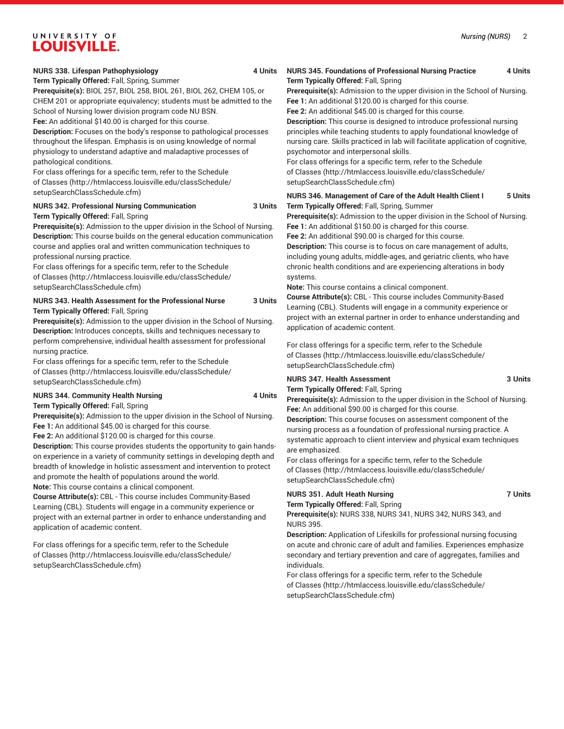#### **NURS 338. Lifespan Pathophysiology 4 Units**

#### **Term Typically Offered:** Fall, Spring, Summer

**Prerequisite(s):** BIOL 257, BIOL 258, BIOL 261, BIOL 262, CHEM 105, or CHEM 201 or appropriate equivalency; students must be admitted to the School of Nursing lower division program code NU BSN.

**Fee:** An additional \$140.00 is charged for this course.

**Description:** Focuses on the body's response to pathological processes throughout the lifespan. Emphasis is on using knowledge of normal physiology to understand adaptive and maladaptive processes of pathological conditions.

For class offerings for a specific term, refer to the [Schedule](http://htmlaccess.louisville.edu/classSchedule/setupSearchClassSchedule.cfm) [of Classes \(http://htmlaccess.louisville.edu/classSchedule/](http://htmlaccess.louisville.edu/classSchedule/setupSearchClassSchedule.cfm) [setupSearchClassSchedule.cfm\)](http://htmlaccess.louisville.edu/classSchedule/setupSearchClassSchedule.cfm)

#### **NURS 342. Professional Nursing Communication 3 Units**

**Term Typically Offered:** Fall, Spring

**Prerequisite(s):** Admission to the upper division in the School of Nursing. **Description:** This course builds on the general education communication course and applies oral and written communication techniques to professional nursing practice.

For class offerings for a specific term, refer to the [Schedule](http://htmlaccess.louisville.edu/classSchedule/setupSearchClassSchedule.cfm) [of Classes \(http://htmlaccess.louisville.edu/classSchedule/](http://htmlaccess.louisville.edu/classSchedule/setupSearchClassSchedule.cfm) [setupSearchClassSchedule.cfm\)](http://htmlaccess.louisville.edu/classSchedule/setupSearchClassSchedule.cfm)

#### **NURS 343. Health Assessment for the Professional Nurse 3 Units Term Typically Offered:** Fall, Spring

**Prerequisite(s):** Admission to the upper division in the School of Nursing. **Description:** Introduces concepts, skills and techniques necessary to perform comprehensive, individual health assessment for professional nursing practice.

For class offerings for a specific term, refer to the [Schedule](http://htmlaccess.louisville.edu/classSchedule/setupSearchClassSchedule.cfm) [of Classes \(http://htmlaccess.louisville.edu/classSchedule/](http://htmlaccess.louisville.edu/classSchedule/setupSearchClassSchedule.cfm) [setupSearchClassSchedule.cfm\)](http://htmlaccess.louisville.edu/classSchedule/setupSearchClassSchedule.cfm)

#### **NURS 344. Community Health Nursing 1978 1979 1979 1979 1981 1982 1983 1984 1985 1986 1988 1989 1988 1989 1988 Term Typically Offered:** Fall, Spring

**Prerequisite(s):** Admission to the upper division in the School of Nursing. **Fee 1:** An additional \$45.00 is charged for this course.

**Fee 2:** An additional \$120.00 is charged for this course.

**Description:** This course provides students the opportunity to gain handson experience in a variety of community settings in developing depth and breadth of knowledge in holistic assessment and intervention to protect and promote the health of populations around the world.

**Note:** This course contains a clinical component.

**Course Attribute(s):** CBL - This course includes Community-Based Learning (CBL). Students will engage in a community experience or project with an external partner in order to enhance understanding and application of academic content.

For class offerings for a specific term, refer to the [Schedule](http://htmlaccess.louisville.edu/classSchedule/setupSearchClassSchedule.cfm) [of Classes \(http://htmlaccess.louisville.edu/classSchedule/](http://htmlaccess.louisville.edu/classSchedule/setupSearchClassSchedule.cfm) [setupSearchClassSchedule.cfm\)](http://htmlaccess.louisville.edu/classSchedule/setupSearchClassSchedule.cfm)

#### **NURS 345. Foundations of Professional Nursing Practice 4 Units Term Typically Offered:** Fall, Spring

**Prerequisite(s):** Admission to the upper division in the School of Nursing. **Fee 1:** An additional \$120.00 is charged for this course.

**Fee 2:** An additional \$45.00 is charged for this course.

**Description:** This course is designed to introduce professional nursing principles while teaching students to apply foundational knowledge of nursing care. Skills practiced in lab will facilitate application of cognitive, psychomotor and interpersonal skills.

For class offerings for a specific term, refer to the [Schedule](http://htmlaccess.louisville.edu/classSchedule/setupSearchClassSchedule.cfm) [of Classes](http://htmlaccess.louisville.edu/classSchedule/setupSearchClassSchedule.cfm) ([http://htmlaccess.louisville.edu/classSchedule/](http://htmlaccess.louisville.edu/classSchedule/setupSearchClassSchedule.cfm) [setupSearchClassSchedule.cfm\)](http://htmlaccess.louisville.edu/classSchedule/setupSearchClassSchedule.cfm)

**NURS 346. Management of Care of the Adult Health Client I 5 Units Term Typically Offered:** Fall, Spring, Summer

**Prerequisite(s):** Admission to the upper division in the School of Nursing. **Fee 1:** An additional \$150.00 is charged for this course.

**Fee 2:** An additional \$90.00 is charged for this course.

**Description:** This course is to focus on care management of adults, including young adults, middle-ages, and geriatric clients, who have chronic health conditions and are experiencing alterations in body systems.

**Note:** This course contains a clinical component.

**Course Attribute(s):** CBL - This course includes Community-Based Learning (CBL). Students will engage in a community experience or project with an external partner in order to enhance understanding and application of academic content.

For class offerings for a specific term, refer to the [Schedule](http://htmlaccess.louisville.edu/classSchedule/setupSearchClassSchedule.cfm) [of Classes](http://htmlaccess.louisville.edu/classSchedule/setupSearchClassSchedule.cfm) ([http://htmlaccess.louisville.edu/classSchedule/](http://htmlaccess.louisville.edu/classSchedule/setupSearchClassSchedule.cfm) [setupSearchClassSchedule.cfm\)](http://htmlaccess.louisville.edu/classSchedule/setupSearchClassSchedule.cfm)

### **NURS 347. Health Assessment** 3 Units

**Term Typically Offered:** Fall, Spring

**Prerequisite(s):** Admission to the upper division in the School of Nursing. **Fee:** An additional \$90.00 is charged for this course.

**Description:** This course focuses on assessment component of the nursing process as a foundation of professional nursing practice. A systematic approach to client interview and physical exam techniques are emphasized.

For class offerings for a specific term, refer to the [Schedule](http://htmlaccess.louisville.edu/classSchedule/setupSearchClassSchedule.cfm) [of Classes](http://htmlaccess.louisville.edu/classSchedule/setupSearchClassSchedule.cfm) ([http://htmlaccess.louisville.edu/classSchedule/](http://htmlaccess.louisville.edu/classSchedule/setupSearchClassSchedule.cfm) [setupSearchClassSchedule.cfm\)](http://htmlaccess.louisville.edu/classSchedule/setupSearchClassSchedule.cfm)

#### **NURS 351. Adult Heath Nursing 7 Units Term Typically Offered:** Fall, Spring

**Prerequisite(s):** NURS 338, NURS 341, NURS 342, NURS 343, and NURS 395.

**Description:** Application of Lifeskills for professional nursing focusing on acute and chronic care of adult and families. Experiences emphasize secondary and tertiary prevention and care of aggregates, families and individuals.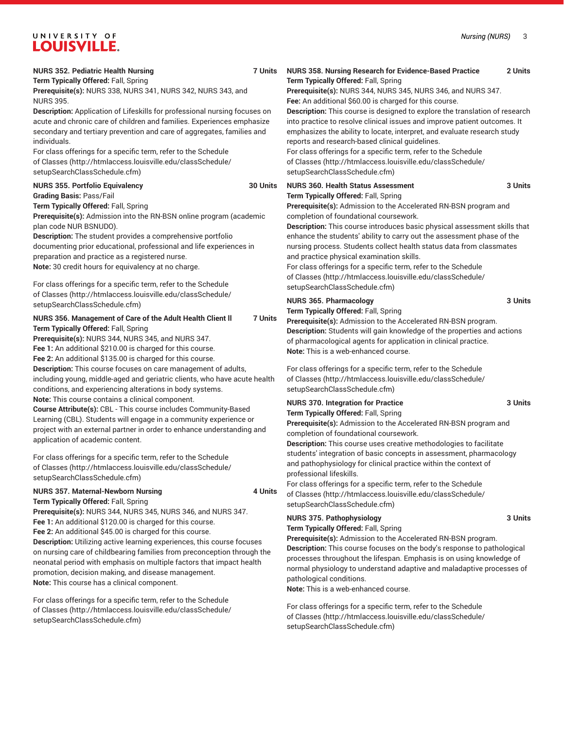*Nursing (NURS)* 3

| <b>NURS 352. Pediatric Health Nursing</b><br>7 Units<br>Term Typically Offered: Fall, Spring<br>Prerequisite(s): NURS 338, NURS 341, NURS 342, NURS 343, and<br><b>NURS 395.</b><br>Description: Application of Lifeskills for professional nursing focuses on<br>acute and chronic care of children and families. Experiences emphasize<br>secondary and tertiary prevention and care of aggregates, families and<br>individuals.<br>For class offerings for a specific term, refer to the Schedule<br>of Classes (http://htmlaccess.louisville.edu/classSchedule/<br>setupSearchClassSchedule.cfm)             | NURS 358. Nursing Research for Evidence-Based Practice<br>2 Units<br>Term Typically Offered: Fall, Spring<br>Prerequisite(s): NURS 344, NURS 345, NURS 346, and NURS 347.<br>Fee: An additional \$60.00 is charged for this course.<br>Description: This course is designed to explore the translation of research<br>into practice to resolve clinical issues and improve patient outcomes. It<br>emphasizes the ability to locate, interpret, and evaluate research study<br>reports and research-based clinical guidelines.<br>For class offerings for a specific term, refer to the Schedule<br>of Classes (http://htmlaccess.louisville.edu/classSchedule/<br>setupSearchClassSchedule.cfm) |
|------------------------------------------------------------------------------------------------------------------------------------------------------------------------------------------------------------------------------------------------------------------------------------------------------------------------------------------------------------------------------------------------------------------------------------------------------------------------------------------------------------------------------------------------------------------------------------------------------------------|--------------------------------------------------------------------------------------------------------------------------------------------------------------------------------------------------------------------------------------------------------------------------------------------------------------------------------------------------------------------------------------------------------------------------------------------------------------------------------------------------------------------------------------------------------------------------------------------------------------------------------------------------------------------------------------------------|
| <b>NURS 355. Portfolio Equivalency</b><br>30 Units<br><b>Grading Basis: Pass/Fail</b><br>Term Typically Offered: Fall, Spring<br>Prerequisite(s): Admission into the RN-BSN online program (academic<br>plan code NUR BSNUDO).<br>Description: The student provides a comprehensive portfolio<br>documenting prior educational, professional and life experiences in<br>preparation and practice as a registered nurse.<br>Note: 30 credit hours for equivalency at no charge.<br>For class offerings for a specific term, refer to the Schedule                                                                 | <b>NURS 360. Health Status Assessment</b><br>3 Units<br>Term Typically Offered: Fall, Spring<br>Prerequisite(s): Admission to the Accelerated RN-BSN program and<br>completion of foundational coursework.<br>Description: This course introduces basic physical assessment skills that<br>enhance the students' ability to carry out the assessment phase of the<br>nursing process. Students collect health status data from classmates<br>and practice physical examination skills.<br>For class offerings for a specific term, refer to the Schedule<br>of Classes (http://htmlaccess.louisville.edu/classSchedule/<br>setupSearchClassSchedule.cfm)                                         |
| of Classes (http://htmlaccess.louisville.edu/classSchedule/<br>setupSearchClassSchedule.cfm)<br>NURS 356. Management of Care of the Adult Health Client II<br><b>7 Units</b><br>Term Typically Offered: Fall, Spring<br>Prerequisite(s): NURS 344, NURS 345, and NURS 347.<br>Fee 1: An additional \$210.00 is charged for this course.<br>Fee 2: An additional \$135.00 is charged for this course.<br>Description: This course focuses on care management of adults,<br>including young, middle-aged and geriatric clients, who have acute health<br>conditions, and experiencing alterations in body systems. | <b>NURS 365. Pharmacology</b><br>3 Units<br>Term Typically Offered: Fall, Spring<br>Prerequisite(s): Admission to the Accelerated RN-BSN program.<br>Description: Students will gain knowledge of the properties and actions<br>of pharmacological agents for application in clinical practice.<br><b>Note:</b> This is a web-enhanced course.<br>For class offerings for a specific term, refer to the Schedule<br>of Classes (http://htmlaccess.louisville.edu/classSchedule/<br>setupSearchClassSchedule.cfm)                                                                                                                                                                                 |
| Note: This course contains a clinical component.<br>Course Attribute(s): CBL - This course includes Community-Based<br>Learning (CBL). Students will engage in a community experience or<br>project with an external partner in order to enhance understanding and<br>application of academic content.<br>For class offerings for a specific term, refer to the Schedule<br>of Classes (http://htmlaccess.louisville.edu/classSchedule/<br>setupSearchClassSchedule.cfm)<br><b>NURS 357. Maternal-Newborn Nursing</b><br>4 Units<br>Term Typically Offered: Fall, Spring                                         | <b>NURS 370. Integration for Practice</b><br>3 Units<br>Term Typically Offered: Fall, Spring<br>Prerequisite(s): Admission to the Accelerated RN-BSN program and<br>completion of foundational coursework.<br>Description: This course uses creative methodologies to facilitate<br>students' integration of basic concepts in assessment, pharmacology<br>and pathophysiology for clinical practice within the context of<br>professional lifeskills.<br>For class offerings for a specific term, refer to the Schedule<br>of Classes (http://htmlaccess.louisville.edu/classSchedule/<br>setupSearchClassSchedule.cfm)                                                                         |
| Prerequisite(s): NURS 344, NURS 345, NURS 346, and NURS 347.<br>Fee 1: An additional \$120.00 is charged for this course.<br>Fee 2: An additional \$45.00 is charged for this course.<br>Description: Utilizing active learning experiences, this course focuses<br>on nursing care of childbearing families from preconception through the<br>neonatal period with emphasis on multiple factors that impact health<br>promotion, decision making, and disease management.<br>Note: This course has a clinical component.                                                                                        | <b>NURS 375. Pathophysiology</b><br>3 Units<br>Term Typically Offered: Fall, Spring<br>Prerequisite(s): Admission to the Accelerated RN-BSN program.<br>Description: This course focuses on the body's response to pathological<br>processes throughout the lifespan. Emphasis is on using knowledge of<br>normal physiology to understand adaptive and maladaptive processes of<br>pathological conditions.<br>Note: This is a web-enhanced course.                                                                                                                                                                                                                                             |
| For class offerings for a specific term, refer to the Schedule<br>of Classes (http://htmlaccess.louisville.edu/classSchedule/<br>ootun Cooroh Close Cabadula ofm)                                                                                                                                                                                                                                                                                                                                                                                                                                                | For class offerings for a specific term, refer to the Schedule<br>of Classes (http://htmlaccess.louisville.edu/classSchedule/                                                                                                                                                                                                                                                                                                                                                                                                                                                                                                                                                                    |

[setupSearchClassSchedule.cfm\)](http://htmlaccess.louisville.edu/classSchedule/setupSearchClassSchedule.cfm)

[setupSearchClassSchedule.cfm\)](http://htmlaccess.louisville.edu/classSchedule/setupSearchClassSchedule.cfm)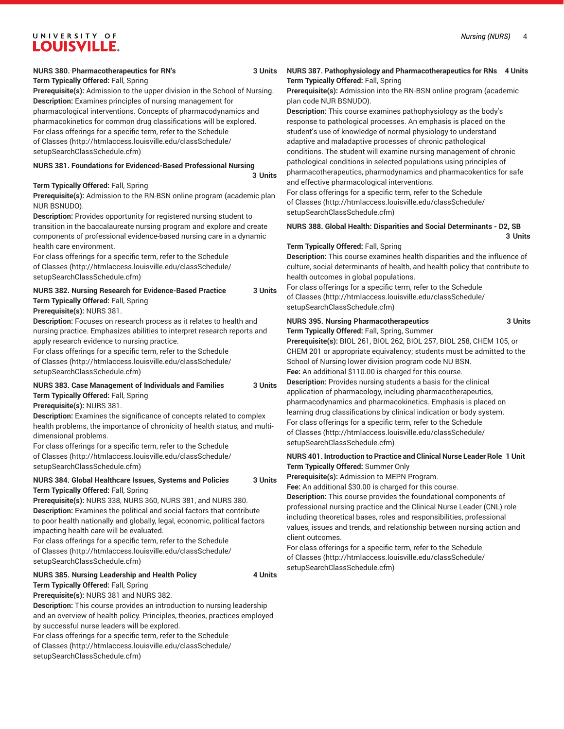**Term Typically Offered:** Fall, Spring **Prerequisite(s):** Admission to the upper division in the School of Nursing. **Description:** Examines principles of nursing management for

pharmacological interventions. Concepts of pharmacodynamics and pharmacokinetics for common drug classifications will be explored. For class offerings for a specific term, refer to the [Schedule](http://htmlaccess.louisville.edu/classSchedule/setupSearchClassSchedule.cfm) [of Classes \(http://htmlaccess.louisville.edu/classSchedule/](http://htmlaccess.louisville.edu/classSchedule/setupSearchClassSchedule.cfm)

[setupSearchClassSchedule.cfm\)](http://htmlaccess.louisville.edu/classSchedule/setupSearchClassSchedule.cfm)

### **NURS 381. Foundations for Evidenced-Based Professional Nursing**

#### **3 Units**

#### **Term Typically Offered:** Fall, Spring

**Prerequisite(s):** Admission to the RN-BSN online program (academic plan NUR BSNUDO).

**Description:** Provides opportunity for registered nursing student to transition in the baccalaureate nursing program and explore and create components of professional evidence-based nursing care in a dynamic health care environment.

For class offerings for a specific term, refer to the [Schedule](http://htmlaccess.louisville.edu/classSchedule/setupSearchClassSchedule.cfm) [of Classes \(http://htmlaccess.louisville.edu/classSchedule/](http://htmlaccess.louisville.edu/classSchedule/setupSearchClassSchedule.cfm) [setupSearchClassSchedule.cfm\)](http://htmlaccess.louisville.edu/classSchedule/setupSearchClassSchedule.cfm)

### **NURS 382. Nursing Research for Evidence-Based Practice 3 Units Term Typically Offered:** Fall, Spring

**Prerequisite(s):** NURS 381.

**Description:** Focuses on research process as it relates to health and nursing practice. Emphasizes abilities to interpret research reports and apply research evidence to nursing practice.

For class offerings for a specific term, refer to the [Schedule](http://htmlaccess.louisville.edu/classSchedule/setupSearchClassSchedule.cfm) [of Classes \(http://htmlaccess.louisville.edu/classSchedule/](http://htmlaccess.louisville.edu/classSchedule/setupSearchClassSchedule.cfm) [setupSearchClassSchedule.cfm\)](http://htmlaccess.louisville.edu/classSchedule/setupSearchClassSchedule.cfm)

### **NURS 383. Case Management of Individuals and Families 3 Units Term Typically Offered:** Fall, Spring

**Prerequisite(s):** NURS 381.

**Description:** Examines the significance of concepts related to complex health problems, the importance of chronicity of health status, and multidimensional problems.

For class offerings for a specific term, refer to the [Schedule](http://htmlaccess.louisville.edu/classSchedule/setupSearchClassSchedule.cfm) [of Classes \(http://htmlaccess.louisville.edu/classSchedule/](http://htmlaccess.louisville.edu/classSchedule/setupSearchClassSchedule.cfm) [setupSearchClassSchedule.cfm\)](http://htmlaccess.louisville.edu/classSchedule/setupSearchClassSchedule.cfm)

### **NURS 384. Global Healthcare Issues, Systems and Policies 3 Units Term Typically Offered:** Fall, Spring

**Prerequisite(s):** NURS 338, NURS 360, NURS 381, and NURS 380. **Description:** Examines the political and social factors that contribute to poor health nationally and globally, legal, economic, political factors impacting health care will be evaluated.

For class offerings for a specific term, refer to the [Schedule](http://htmlaccess.louisville.edu/classSchedule/setupSearchClassSchedule.cfm) [of Classes \(http://htmlaccess.louisville.edu/classSchedule/](http://htmlaccess.louisville.edu/classSchedule/setupSearchClassSchedule.cfm) [setupSearchClassSchedule.cfm\)](http://htmlaccess.louisville.edu/classSchedule/setupSearchClassSchedule.cfm)

#### **NURS 385. Nursing Leadership and Health Policy 4 Units Term Typically Offered:** Fall, Spring

**Prerequisite(s):** NURS 381 and NURS 382.

**Description:** This course provides an introduction to nursing leadership and an overview of health policy. Principles, theories, practices employed by successful nurse leaders will be explored.

For class offerings for a specific term, refer to the [Schedule](http://htmlaccess.louisville.edu/classSchedule/setupSearchClassSchedule.cfm) [of Classes \(http://htmlaccess.louisville.edu/classSchedule/](http://htmlaccess.louisville.edu/classSchedule/setupSearchClassSchedule.cfm) [setupSearchClassSchedule.cfm\)](http://htmlaccess.louisville.edu/classSchedule/setupSearchClassSchedule.cfm)

#### **NURS 387. Pathophysiology and Pharmacotherapeutics for RNs 4 Units Term Typically Offered:** Fall, Spring

**Prerequisite(s):** Admission into the RN-BSN online program (academic plan code NUR BSNUDO).

**Description:** This course examines pathophysiology as the body's response to pathological processes. An emphasis is placed on the student's use of knowledge of normal physiology to understand adaptive and maladaptive processes of chronic pathological conditions. The student will examine nursing management of chronic pathological conditions in selected populations using principles of pharmacotherapeutics, pharmodynamics and pharmacokentics for safe and effective pharmacological interventions.

For class offerings for a specific term, refer to the [Schedule](http://htmlaccess.louisville.edu/classSchedule/setupSearchClassSchedule.cfm) [of Classes](http://htmlaccess.louisville.edu/classSchedule/setupSearchClassSchedule.cfm) ([http://htmlaccess.louisville.edu/classSchedule/](http://htmlaccess.louisville.edu/classSchedule/setupSearchClassSchedule.cfm) [setupSearchClassSchedule.cfm\)](http://htmlaccess.louisville.edu/classSchedule/setupSearchClassSchedule.cfm)

### **NURS 388. Global Health: Disparities and Social Determinants - D2, SB 3 Units**

#### **Term Typically Offered:** Fall, Spring

**Description:** This course examines health disparities and the influence of culture, social determinants of health, and health policy that contribute to health outcomes in global populations.

For class offerings for a specific term, refer to the [Schedule](http://htmlaccess.louisville.edu/classSchedule/setupSearchClassSchedule.cfm) [of Classes](http://htmlaccess.louisville.edu/classSchedule/setupSearchClassSchedule.cfm) ([http://htmlaccess.louisville.edu/classSchedule/](http://htmlaccess.louisville.edu/classSchedule/setupSearchClassSchedule.cfm) [setupSearchClassSchedule.cfm\)](http://htmlaccess.louisville.edu/classSchedule/setupSearchClassSchedule.cfm)

#### **NURS 395. Nursing Pharmacotherapeutics 3 Units**

**Term Typically Offered:** Fall, Spring, Summer

**Prerequisite(s):** BIOL 261, BIOL 262, BIOL 257, BIOL 258, CHEM 105, or CHEM 201 or appropriate equivalency; students must be admitted to the School of Nursing lower division program code NU BSN. **Fee:** An additional \$110.00 is charged for this course.

**Description:** Provides nursing students a basis for the clinical application of pharmacology, including pharmacotherapeutics, pharmacodynamics and pharmacokinetics. Emphasis is placed on learning drug classifications by clinical indication or body system. For class offerings for a specific term, refer to the [Schedule](http://htmlaccess.louisville.edu/classSchedule/setupSearchClassSchedule.cfm) [of Classes](http://htmlaccess.louisville.edu/classSchedule/setupSearchClassSchedule.cfm) ([http://htmlaccess.louisville.edu/classSchedule/](http://htmlaccess.louisville.edu/classSchedule/setupSearchClassSchedule.cfm) [setupSearchClassSchedule.cfm\)](http://htmlaccess.louisville.edu/classSchedule/setupSearchClassSchedule.cfm)

### **NURS 401. Introduction to Practice and Clinical Nurse Leader Role 1 Unit Term Typically Offered:** Summer Only

**Prerequisite(s):** Admission to MEPN Program.

**Fee:** An additional \$30.00 is charged for this course.

**Description:** This course provides the foundational components of professional nursing practice and the Clinical Nurse Leader (CNL) role including theoretical bases, roles and responsibilities, professional values, issues and trends, and relationship between nursing action and client outcomes.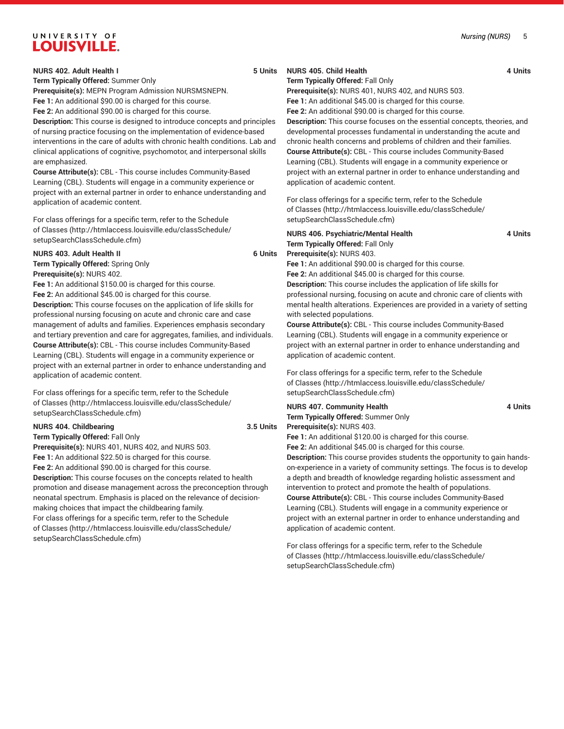#### *Nursing (NURS)* 5

# UNIVERSITY OF **LOUISVILLE.**

#### **NURS 402. Adult Health I 5 Units**

**Term Typically Offered:** Summer Only

**Prerequisite(s):** MEPN Program Admission NURSMSNEPN. **Fee 1:** An additional \$90.00 is charged for this course.

**Fee 2:** An additional \$90.00 is charged for this course.

**Description:** This course is designed to introduce concepts and principles of nursing practice focusing on the implementation of evidence-based interventions in the care of adults with chronic health conditions. Lab and clinical applications of cognitive, psychomotor, and interpersonal skills are emphasized.

**Course Attribute(s):** CBL - This course includes Community-Based Learning (CBL). Students will engage in a community experience or project with an external partner in order to enhance understanding and application of academic content.

For class offerings for a specific term, refer to the [Schedule](http://htmlaccess.louisville.edu/classSchedule/setupSearchClassSchedule.cfm) [of Classes \(http://htmlaccess.louisville.edu/classSchedule/](http://htmlaccess.louisville.edu/classSchedule/setupSearchClassSchedule.cfm) [setupSearchClassSchedule.cfm\)](http://htmlaccess.louisville.edu/classSchedule/setupSearchClassSchedule.cfm)

#### **NURS 403. Adult Health II 6 Units**

**Term Typically Offered:** Spring Only **Prerequisite(s):** NURS 402.

**Fee 1:** An additional \$150.00 is charged for this course. **Fee 2:** An additional \$45.00 is charged for this course. **Description:** This course focuses on the application of life skills for professional nursing focusing on acute and chronic care and case management of adults and families. Experiences emphasis secondary and tertiary prevention and care for aggregates, families, and individuals. **Course Attribute(s):** CBL - This course includes Community-Based Learning (CBL). Students will engage in a community experience or project with an external partner in order to enhance understanding and application of academic content.

For class offerings for a specific term, refer to the [Schedule](http://htmlaccess.louisville.edu/classSchedule/setupSearchClassSchedule.cfm) [of Classes \(http://htmlaccess.louisville.edu/classSchedule/](http://htmlaccess.louisville.edu/classSchedule/setupSearchClassSchedule.cfm) [setupSearchClassSchedule.cfm\)](http://htmlaccess.louisville.edu/classSchedule/setupSearchClassSchedule.cfm)

#### **NURS 404. Childbearing 3.5 Units**

**Term Typically Offered:** Fall Only **Prerequisite(s):** NURS 401, NURS 402, and NURS 503. **Fee 1:** An additional \$22.50 is charged for this course. **Fee 2:** An additional \$90.00 is charged for this course. **Description:** This course focuses on the concepts related to health promotion and disease management across the preconception through neonatal spectrum. Emphasis is placed on the relevance of decisionmaking choices that impact the childbearing family. For class offerings for a specific term, refer to the [Schedule](http://htmlaccess.louisville.edu/classSchedule/setupSearchClassSchedule.cfm) [of Classes \(http://htmlaccess.louisville.edu/classSchedule/](http://htmlaccess.louisville.edu/classSchedule/setupSearchClassSchedule.cfm)

[setupSearchClassSchedule.cfm\)](http://htmlaccess.louisville.edu/classSchedule/setupSearchClassSchedule.cfm)

### **NURS 405. Child Health 4 Units**

#### **Term Typically Offered:** Fall Only

**Prerequisite(s):** NURS 401, NURS 402, and NURS 503. **Fee 1:** An additional \$45.00 is charged for this course.

**Fee 2:** An additional \$90.00 is charged for this course.

**Description:** This course focuses on the essential concepts, theories, and developmental processes fundamental in understanding the acute and chronic health concerns and problems of children and their families. **Course Attribute(s):** CBL - This course includes Community-Based Learning (CBL). Students will engage in a community experience or project with an external partner in order to enhance understanding and application of academic content.

For class offerings for a specific term, refer to the [Schedule](http://htmlaccess.louisville.edu/classSchedule/setupSearchClassSchedule.cfm) [of Classes](http://htmlaccess.louisville.edu/classSchedule/setupSearchClassSchedule.cfm) ([http://htmlaccess.louisville.edu/classSchedule/](http://htmlaccess.louisville.edu/classSchedule/setupSearchClassSchedule.cfm) [setupSearchClassSchedule.cfm\)](http://htmlaccess.louisville.edu/classSchedule/setupSearchClassSchedule.cfm)

## **NURS 406. Psychiatric/Mental Health 4 Units Term Typically Offered:** Fall Only **Prerequisite(s):** NURS 403.

**Fee 1:** An additional \$90.00 is charged for this course.

**Fee 2:** An additional \$45.00 is charged for this course. **Description:** This course includes the application of life skills for professional nursing, focusing on acute and chronic care of clients with mental health alterations. Experiences are provided in a variety of setting with selected populations.

**Course Attribute(s):** CBL - This course includes Community-Based Learning (CBL). Students will engage in a community experience or project with an external partner in order to enhance understanding and application of academic content.

For class offerings for a specific term, refer to the [Schedule](http://htmlaccess.louisville.edu/classSchedule/setupSearchClassSchedule.cfm) [of Classes](http://htmlaccess.louisville.edu/classSchedule/setupSearchClassSchedule.cfm) ([http://htmlaccess.louisville.edu/classSchedule/](http://htmlaccess.louisville.edu/classSchedule/setupSearchClassSchedule.cfm) [setupSearchClassSchedule.cfm\)](http://htmlaccess.louisville.edu/classSchedule/setupSearchClassSchedule.cfm)

#### **NURS 407. Community Health 4 Units Term Typically Offered:** Summer Only **Prerequisite(s):** NURS 403.

**Fee 1:** An additional \$120.00 is charged for this course.

**Fee 2:** An additional \$45.00 is charged for this course.

**Description:** This course provides students the opportunity to gain handson-experience in a variety of community settings. The focus is to develop a depth and breadth of knowledge regarding holistic assessment and intervention to protect and promote the health of populations. **Course Attribute(s):** CBL - This course includes Community-Based Learning (CBL). Students will engage in a community experience or project with an external partner in order to enhance understanding and application of academic content.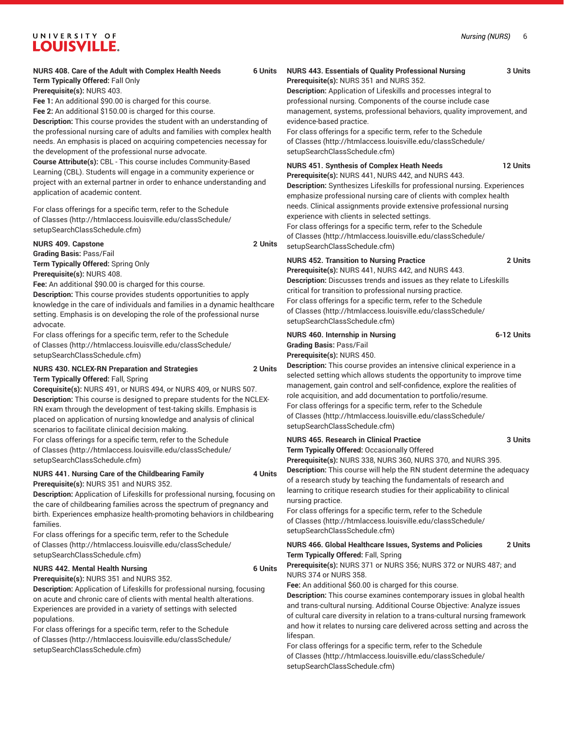#### **NURS 408. Care of the Adult with Complex Health Needs 6 Units Term Typically Offered:** Fall Only

**Prerequisite(s):** NURS 403.

**Fee 1:** An additional \$90.00 is charged for this course.

**Fee 2:** An additional \$150.00 is charged for this course.

**Description:** This course provides the student with an understanding of the professional nursing care of adults and families with complex health needs. An emphasis is placed on acquiring competencies necessay for the development of the professional nurse advocate.

**Course Attribute(s):** CBL - This course includes Community-Based Learning (CBL). Students will engage in a community experience or project with an external partner in order to enhance understanding and application of academic content.

For class offerings for a specific term, refer to the [Schedule](http://htmlaccess.louisville.edu/classSchedule/setupSearchClassSchedule.cfm) [of Classes \(http://htmlaccess.louisville.edu/classSchedule/](http://htmlaccess.louisville.edu/classSchedule/setupSearchClassSchedule.cfm) [setupSearchClassSchedule.cfm\)](http://htmlaccess.louisville.edu/classSchedule/setupSearchClassSchedule.cfm)

#### **NURS 409. Capstone 2 Units**

**Grading Basis:** Pass/Fail **Term Typically Offered:** Spring Only **Prerequisite(s):** NURS 408.

**Fee:** An additional \$90.00 is charged for this course. **Description:** This course provides students opportunities to apply knowledge in the care of individuals and families in a dynamic healthcare setting. Emphasis is on developing the role of the professional nurse advocate.

For class offerings for a specific term, refer to the [Schedule](http://htmlaccess.louisville.edu/classSchedule/setupSearchClassSchedule.cfm) [of Classes \(http://htmlaccess.louisville.edu/classSchedule/](http://htmlaccess.louisville.edu/classSchedule/setupSearchClassSchedule.cfm) [setupSearchClassSchedule.cfm\)](http://htmlaccess.louisville.edu/classSchedule/setupSearchClassSchedule.cfm)

#### **NURS 430. NCLEX-RN Preparation and Strategies 2 Units Term Typically Offered:** Fall, Spring

**Corequisite(s):** NURS 491, or NURS 494, or NURS 409, or NURS 507. **Description:** This course is designed to prepare students for the NCLEX-RN exam through the development of test-taking skills. Emphasis is placed on application of nursing knowledge and analysis of clinical scenarios to facilitate clinical decision making.

For class offerings for a specific term, refer to the [Schedule](http://htmlaccess.louisville.edu/classSchedule/setupSearchClassSchedule.cfm) [of Classes \(http://htmlaccess.louisville.edu/classSchedule/](http://htmlaccess.louisville.edu/classSchedule/setupSearchClassSchedule.cfm) [setupSearchClassSchedule.cfm\)](http://htmlaccess.louisville.edu/classSchedule/setupSearchClassSchedule.cfm)

#### **NURS 441. Nursing Care of the Childbearing Family 4 Units Prerequisite(s):** NURS 351 and NURS 352.

**Description:** Application of Lifeskills for professional nursing, focusing on the care of childbearing families across the spectrum of pregnancy and birth. Experiences emphasize health-promoting behaviors in childbearing families.

For class offerings for a specific term, refer to the [Schedule](http://htmlaccess.louisville.edu/classSchedule/setupSearchClassSchedule.cfm) [of Classes \(http://htmlaccess.louisville.edu/classSchedule/](http://htmlaccess.louisville.edu/classSchedule/setupSearchClassSchedule.cfm) [setupSearchClassSchedule.cfm\)](http://htmlaccess.louisville.edu/classSchedule/setupSearchClassSchedule.cfm)

#### **NURS 442. Mental Health Nursing 6 Units**

**Prerequisite(s):** NURS 351 and NURS 352.

**Description:** Application of Lifeskills for professional nursing, focusing on acute and chronic care of clients with mental health alterations. Experiences are provided in a variety of settings with selected populations.

For class offerings for a specific term, refer to the [Schedule](http://htmlaccess.louisville.edu/classSchedule/setupSearchClassSchedule.cfm) [of Classes \(http://htmlaccess.louisville.edu/classSchedule/](http://htmlaccess.louisville.edu/classSchedule/setupSearchClassSchedule.cfm) [setupSearchClassSchedule.cfm\)](http://htmlaccess.louisville.edu/classSchedule/setupSearchClassSchedule.cfm)

#### **NURS 443. Essentials of Quality Professional Nursing 3 Units Prerequisite(s):** NURS 351 and NURS 352.

**Description:** Application of Lifeskills and processes integral to professional nursing. Components of the course include case management, systems, professional behaviors, quality improvement, and evidence-based practice.

For class offerings for a specific term, refer to the [Schedule](http://htmlaccess.louisville.edu/classSchedule/setupSearchClassSchedule.cfm) [of Classes](http://htmlaccess.louisville.edu/classSchedule/setupSearchClassSchedule.cfm) ([http://htmlaccess.louisville.edu/classSchedule/](http://htmlaccess.louisville.edu/classSchedule/setupSearchClassSchedule.cfm) [setupSearchClassSchedule.cfm\)](http://htmlaccess.louisville.edu/classSchedule/setupSearchClassSchedule.cfm)

**NURS 451. Synthesis of Complex Heath Needs 12 Units Prerequisite(s):** NURS 441, NURS 442, and NURS 443.

**Description:** Synthesizes Lifeskills for professional nursing. Experiences emphasize professional nursing care of clients with complex health needs. Clinical assignments provide extensive professional nursing experience with clients in selected settings.

For class offerings for a specific term, refer to the [Schedule](http://htmlaccess.louisville.edu/classSchedule/setupSearchClassSchedule.cfm) [of Classes](http://htmlaccess.louisville.edu/classSchedule/setupSearchClassSchedule.cfm) ([http://htmlaccess.louisville.edu/classSchedule/](http://htmlaccess.louisville.edu/classSchedule/setupSearchClassSchedule.cfm) [setupSearchClassSchedule.cfm\)](http://htmlaccess.louisville.edu/classSchedule/setupSearchClassSchedule.cfm)

#### **NURS 452. Transition to Nursing Practice 2 Units**

**Prerequisite(s):** NURS 441, NURS 442, and NURS 443. **Description:** Discusses trends and issues as they relate to Lifeskills critical for transition to professional nursing practice. For class offerings for a specific term, refer to the [Schedule](http://htmlaccess.louisville.edu/classSchedule/setupSearchClassSchedule.cfm) [of Classes](http://htmlaccess.louisville.edu/classSchedule/setupSearchClassSchedule.cfm) ([http://htmlaccess.louisville.edu/classSchedule/](http://htmlaccess.louisville.edu/classSchedule/setupSearchClassSchedule.cfm) [setupSearchClassSchedule.cfm\)](http://htmlaccess.louisville.edu/classSchedule/setupSearchClassSchedule.cfm)

### **NURS 460. Internship in Nursing 6-12 Units Grading Basis:** Pass/Fail **Prerequisite(s):** NURS 450.

**Description:** This course provides an intensive clinical experience in a selected setting which allows students the opportunity to improve time management, gain control and self-confidence, explore the realities of role acquisition, and add documentation to portfolio/resume. For class offerings for a specific term, refer to the [Schedule](http://htmlaccess.louisville.edu/classSchedule/setupSearchClassSchedule.cfm) [of Classes](http://htmlaccess.louisville.edu/classSchedule/setupSearchClassSchedule.cfm) ([http://htmlaccess.louisville.edu/classSchedule/](http://htmlaccess.louisville.edu/classSchedule/setupSearchClassSchedule.cfm) [setupSearchClassSchedule.cfm\)](http://htmlaccess.louisville.edu/classSchedule/setupSearchClassSchedule.cfm)

### **NURS 465. Research in Clinical Practice 3 Units**

**Term Typically Offered:** Occasionally Offered

**Prerequisite(s):** NURS 338, NURS 360, NURS 370, and NURS 395. **Description:** This course will help the RN student determine the adequacy of a research study by teaching the fundamentals of research and learning to critique research studies for their applicability to clinical nursing practice.

For class offerings for a specific term, refer to the [Schedule](http://htmlaccess.louisville.edu/classSchedule/setupSearchClassSchedule.cfm) [of Classes](http://htmlaccess.louisville.edu/classSchedule/setupSearchClassSchedule.cfm) ([http://htmlaccess.louisville.edu/classSchedule/](http://htmlaccess.louisville.edu/classSchedule/setupSearchClassSchedule.cfm) [setupSearchClassSchedule.cfm\)](http://htmlaccess.louisville.edu/classSchedule/setupSearchClassSchedule.cfm)

#### **NURS 466. Global Healthcare Issues, Systems and Policies 2 Units Term Typically Offered:** Fall, Spring

**Prerequisite(s):** NURS 371 or NURS 356; NURS 372 or NURS 487; and NURS 374 or NURS 358.

**Fee:** An additional \$60.00 is charged for this course.

**Description:** This course examines contemporary issues in global health and trans-cultural nursing. Additional Course Objective: Analyze issues of cultural care diversity in relation to a trans-cultural nursing framework and how it relates to nursing care delivered across setting and across the lifespan.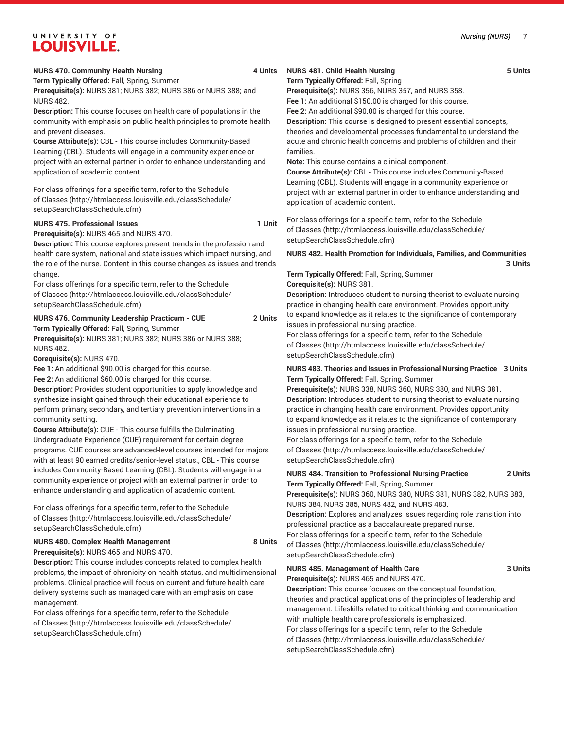**Term Typically Offered:** Fall, Spring, Summer **Prerequisite(s):** NURS 381; NURS 382; NURS 386 or NURS 388; and

NURS 482.

**Description:** This course focuses on health care of populations in the community with emphasis on public health principles to promote health and prevent diseases.

**Course Attribute(s):** CBL - This course includes Community-Based Learning (CBL). Students will engage in a community experience or project with an external partner in order to enhance understanding and application of academic content.

For class offerings for a specific term, refer to the [Schedule](http://htmlaccess.louisville.edu/classSchedule/setupSearchClassSchedule.cfm) [of Classes \(http://htmlaccess.louisville.edu/classSchedule/](http://htmlaccess.louisville.edu/classSchedule/setupSearchClassSchedule.cfm) [setupSearchClassSchedule.cfm\)](http://htmlaccess.louisville.edu/classSchedule/setupSearchClassSchedule.cfm)

#### **NURS 475. Professional Issues 1 Unit**

**Prerequisite(s):** NURS 465 and NURS 470.

**Description:** This course explores present trends in the profession and health care system, national and state issues which impact nursing, and the role of the nurse. Content in this course changes as issues and trends change.

For class offerings for a specific term, refer to the [Schedule](http://htmlaccess.louisville.edu/classSchedule/setupSearchClassSchedule.cfm) [of Classes \(http://htmlaccess.louisville.edu/classSchedule/](http://htmlaccess.louisville.edu/classSchedule/setupSearchClassSchedule.cfm) [setupSearchClassSchedule.cfm\)](http://htmlaccess.louisville.edu/classSchedule/setupSearchClassSchedule.cfm)

#### **NURS 476. Community Leadership Practicum - CUE 2 Units Term Typically Offered:** Fall, Spring, Summer

**Prerequisite(s):** NURS 381; NURS 382; NURS 386 or NURS 388; NURS 482.

**Corequisite(s):** NURS 470.

**Fee 1:** An additional \$90.00 is charged for this course.

**Fee 2:** An additional \$60.00 is charged for this course.

**Description:** Provides student opportunities to apply knowledge and synthesize insight gained through their educational experience to perform primary, secondary, and tertiary prevention interventions in a community setting.

**Course Attribute(s):** CUE - This course fulfills the Culminating Undergraduate Experience (CUE) requirement for certain degree programs. CUE courses are advanced-level courses intended for majors with at least 90 earned credits/senior-level status., CBL - This course includes Community-Based Learning (CBL). Students will engage in a community experience or project with an external partner in order to enhance understanding and application of academic content.

For class offerings for a specific term, refer to the [Schedule](http://htmlaccess.louisville.edu/classSchedule/setupSearchClassSchedule.cfm) [of Classes \(http://htmlaccess.louisville.edu/classSchedule/](http://htmlaccess.louisville.edu/classSchedule/setupSearchClassSchedule.cfm) [setupSearchClassSchedule.cfm\)](http://htmlaccess.louisville.edu/classSchedule/setupSearchClassSchedule.cfm)

#### **NURS 480. Complex Health Management 8 Units Prerequisite(s):** NURS 465 and NURS 470.

**Description:** This course includes concepts related to complex health problems, the impact of chronicity on health status, and multidimensional problems. Clinical practice will focus on current and future health care delivery systems such as managed care with an emphasis on case management.

For class offerings for a specific term, refer to the [Schedule](http://htmlaccess.louisville.edu/classSchedule/setupSearchClassSchedule.cfm) [of Classes \(http://htmlaccess.louisville.edu/classSchedule/](http://htmlaccess.louisville.edu/classSchedule/setupSearchClassSchedule.cfm) [setupSearchClassSchedule.cfm\)](http://htmlaccess.louisville.edu/classSchedule/setupSearchClassSchedule.cfm)

### **NURS 481. Child Health Nursing 5 Units**

**Term Typically Offered:** Fall, Spring

**Prerequisite(s):** NURS 356, NURS 357, and NURS 358. **Fee 1:** An additional \$150.00 is charged for this course.

**Fee 2:** An additional \$90.00 is charged for this course. **Description:** This course is designed to present essential concepts, theories and developmental processes fundamental to understand the acute and chronic health concerns and problems of children and their families.

**Note:** This course contains a clinical component.

**Course Attribute(s):** CBL - This course includes Community-Based Learning (CBL). Students will engage in a community experience or project with an external partner in order to enhance understanding and application of academic content.

For class offerings for a specific term, refer to the [Schedule](http://htmlaccess.louisville.edu/classSchedule/setupSearchClassSchedule.cfm) [of Classes](http://htmlaccess.louisville.edu/classSchedule/setupSearchClassSchedule.cfm) ([http://htmlaccess.louisville.edu/classSchedule/](http://htmlaccess.louisville.edu/classSchedule/setupSearchClassSchedule.cfm) [setupSearchClassSchedule.cfm\)](http://htmlaccess.louisville.edu/classSchedule/setupSearchClassSchedule.cfm)

#### **NURS 482. Health Promotion for Individuals, Families, and Communities 3 Units**

# **Term Typically Offered:** Fall, Spring, Summer

**Corequisite(s):** NURS 381.

**Description:** Introduces student to nursing theorist to evaluate nursing practice in changing health care environment. Provides opportunity to expand knowledge as it relates to the significance of contemporary issues in professional nursing practice.

For class offerings for a specific term, refer to the [Schedule](http://htmlaccess.louisville.edu/classSchedule/setupSearchClassSchedule.cfm) [of Classes](http://htmlaccess.louisville.edu/classSchedule/setupSearchClassSchedule.cfm) ([http://htmlaccess.louisville.edu/classSchedule/](http://htmlaccess.louisville.edu/classSchedule/setupSearchClassSchedule.cfm) [setupSearchClassSchedule.cfm\)](http://htmlaccess.louisville.edu/classSchedule/setupSearchClassSchedule.cfm)

#### **NURS 483. Theories and Issues in Professional Nursing Practice 3 Units Term Typically Offered:** Fall, Spring, Summer

**Prerequisite(s):** NURS 338, NURS 360, NURS 380, and NURS 381. **Description:** Introduces student to nursing theorist to evaluate nursing practice in changing health care environment. Provides opportunity to expand knowledge as it relates to the significance of contemporary issues in professional nursing practice.

For class offerings for a specific term, refer to the [Schedule](http://htmlaccess.louisville.edu/classSchedule/setupSearchClassSchedule.cfm) [of Classes](http://htmlaccess.louisville.edu/classSchedule/setupSearchClassSchedule.cfm) ([http://htmlaccess.louisville.edu/classSchedule/](http://htmlaccess.louisville.edu/classSchedule/setupSearchClassSchedule.cfm) [setupSearchClassSchedule.cfm\)](http://htmlaccess.louisville.edu/classSchedule/setupSearchClassSchedule.cfm)

### **NURS 484. Transition to Professional Nursing Practice 2 Units Term Typically Offered:** Fall, Spring, Summer

**Prerequisite(s):** NURS 360, NURS 380, NURS 381, NURS 382, NURS 383, NURS 384, NURS 385, NURS 482, and NURS 483.

**Description:** Explores and analyzes issues regarding role transition into professional practice as a baccalaureate prepared nurse. For class offerings for a specific term, refer to the [Schedule](http://htmlaccess.louisville.edu/classSchedule/setupSearchClassSchedule.cfm) [of Classes](http://htmlaccess.louisville.edu/classSchedule/setupSearchClassSchedule.cfm) ([http://htmlaccess.louisville.edu/classSchedule/](http://htmlaccess.louisville.edu/classSchedule/setupSearchClassSchedule.cfm)

# **NURS 485. Management of Health Care 3 Units**

[setupSearchClassSchedule.cfm\)](http://htmlaccess.louisville.edu/classSchedule/setupSearchClassSchedule.cfm)

**Prerequisite(s):** NURS 465 and NURS 470.

**Description:** This course focuses on the conceptual foundation, theories and practical applications of the principles of leadership and management. Lifeskills related to critical thinking and communication with multiple health care professionals is emphasized. For class offerings for a specific term, refer to the [Schedule](http://htmlaccess.louisville.edu/classSchedule/setupSearchClassSchedule.cfm) [of Classes](http://htmlaccess.louisville.edu/classSchedule/setupSearchClassSchedule.cfm) ([http://htmlaccess.louisville.edu/classSchedule/](http://htmlaccess.louisville.edu/classSchedule/setupSearchClassSchedule.cfm) [setupSearchClassSchedule.cfm\)](http://htmlaccess.louisville.edu/classSchedule/setupSearchClassSchedule.cfm)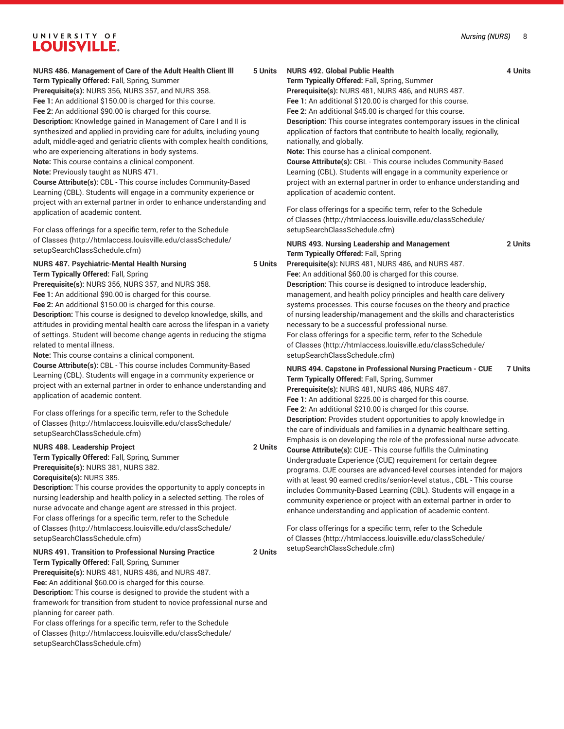#### *Nursing (NURS)* 8

# UNIVERSITY OF **LOUISVILLE.**

# **NURS 486. Management of Care of the Adult Health Client lll 5 Units**

**Term Typically Offered:** Fall, Spring, Summer **Prerequisite(s):** NURS 356, NURS 357, and NURS 358. **Fee 1:** An additional \$150.00 is charged for this course. **Fee 2:** An additional \$90.00 is charged for this course. **Description:** Knowledge gained in Management of Care I and II is synthesized and applied in providing care for adults, including young adult, middle-aged and geriatric clients with complex health conditions, who are experiencing alterations in body systems. **Note:** This course contains a clinical component. **Note:** Previously taught as NURS 471.

**Course Attribute(s):** CBL - This course includes Community-Based Learning (CBL). Students will engage in a community experience or project with an external partner in order to enhance understanding and application of academic content.

For class offerings for a specific term, refer to the [Schedule](http://htmlaccess.louisville.edu/classSchedule/setupSearchClassSchedule.cfm) [of Classes \(http://htmlaccess.louisville.edu/classSchedule/](http://htmlaccess.louisville.edu/classSchedule/setupSearchClassSchedule.cfm) [setupSearchClassSchedule.cfm\)](http://htmlaccess.louisville.edu/classSchedule/setupSearchClassSchedule.cfm)

# **NURS 487. Psychiatric-Mental Health Nursing 5 Units**

**Term Typically Offered:** Fall, Spring

**Prerequisite(s):** NURS 356, NURS 357, and NURS 358. **Fee 1:** An additional \$90.00 is charged for this course.

**Fee 2:** An additional \$150.00 is charged for this course.

**Description:** This course is designed to develop knowledge, skills, and attitudes in providing mental health care across the lifespan in a variety of settings. Student will become change agents in reducing the stigma related to mental illness.

**Note:** This course contains a clinical component.

**Course Attribute(s):** CBL - This course includes Community-Based Learning (CBL). Students will engage in a community experience or project with an external partner in order to enhance understanding and application of academic content.

For class offerings for a specific term, refer to the [Schedule](http://htmlaccess.louisville.edu/classSchedule/setupSearchClassSchedule.cfm) [of Classes \(http://htmlaccess.louisville.edu/classSchedule/](http://htmlaccess.louisville.edu/classSchedule/setupSearchClassSchedule.cfm) [setupSearchClassSchedule.cfm\)](http://htmlaccess.louisville.edu/classSchedule/setupSearchClassSchedule.cfm)

### **NURS 488. Leadership Project 2 Units**

**Term Typically Offered:** Fall, Spring, Summer **Prerequisite(s):** NURS 381, NURS 382. **Corequisite(s):** NURS 385.

**Description:** This course provides the opportunity to apply concepts in nursing leadership and health policy in a selected setting. The roles of nurse advocate and change agent are stressed in this project. For class offerings for a specific term, refer to the [Schedule](http://htmlaccess.louisville.edu/classSchedule/setupSearchClassSchedule.cfm) [of Classes \(http://htmlaccess.louisville.edu/classSchedule/](http://htmlaccess.louisville.edu/classSchedule/setupSearchClassSchedule.cfm) [setupSearchClassSchedule.cfm\)](http://htmlaccess.louisville.edu/classSchedule/setupSearchClassSchedule.cfm)

#### **NURS 491. Transition to Professional Nursing Practice 2 Units Term Typically Offered:** Fall, Spring, Summer

**Prerequisite(s):** NURS 481, NURS 486, and NURS 487. **Fee:** An additional \$60.00 is charged for this course. **Description:** This course is designed to provide the student with a framework for transition from student to novice professional nurse and

planning for career path. For class offerings for a specific term, refer to the [Schedule](http://htmlaccess.louisville.edu/classSchedule/setupSearchClassSchedule.cfm) [of Classes \(http://htmlaccess.louisville.edu/classSchedule/](http://htmlaccess.louisville.edu/classSchedule/setupSearchClassSchedule.cfm) [setupSearchClassSchedule.cfm\)](http://htmlaccess.louisville.edu/classSchedule/setupSearchClassSchedule.cfm)

# **NURS 492. Global Public Health 4 Units**

**Term Typically Offered:** Fall, Spring, Summer

**Prerequisite(s):** NURS 481, NURS 486, and NURS 487.

**Fee 1:** An additional \$120.00 is charged for this course. **Fee 2:** An additional \$45.00 is charged for this course.

**Description:** This course integrates contemporary issues in the clinical application of factors that contribute to health locally, regionally, nationally, and globally.

**Note:** This course has a clinical component.

**Course Attribute(s):** CBL - This course includes Community-Based Learning (CBL). Students will engage in a community experience or project with an external partner in order to enhance understanding and application of academic content.

For class offerings for a specific term, refer to the [Schedule](http://htmlaccess.louisville.edu/classSchedule/setupSearchClassSchedule.cfm) [of Classes](http://htmlaccess.louisville.edu/classSchedule/setupSearchClassSchedule.cfm) ([http://htmlaccess.louisville.edu/classSchedule/](http://htmlaccess.louisville.edu/classSchedule/setupSearchClassSchedule.cfm) [setupSearchClassSchedule.cfm\)](http://htmlaccess.louisville.edu/classSchedule/setupSearchClassSchedule.cfm)

#### **NURS 493. Nursing Leadership and Management 2 Units Term Typically Offered:** Fall, Spring

**Prerequisite(s):** NURS 481, NURS 486, and NURS 487. **Fee:** An additional \$60.00 is charged for this course. **Description:** This course is designed to introduce leadership, management, and health policy principles and health care delivery systems processes. This course focuses on the theory and practice of nursing leadership/management and the skills and characteristics necessary to be a successful professional nurse. For class offerings for a specific term, refer to the [Schedule](http://htmlaccess.louisville.edu/classSchedule/setupSearchClassSchedule.cfm) [of Classes](http://htmlaccess.louisville.edu/classSchedule/setupSearchClassSchedule.cfm) ([http://htmlaccess.louisville.edu/classSchedule/](http://htmlaccess.louisville.edu/classSchedule/setupSearchClassSchedule.cfm) [setupSearchClassSchedule.cfm\)](http://htmlaccess.louisville.edu/classSchedule/setupSearchClassSchedule.cfm)

**NURS 494. Capstone in Professional Nursing Practicum - CUE 7 Units Term Typically Offered:** Fall, Spring, Summer

**Prerequisite(s):** NURS 481, NURS 486, NURS 487. **Fee 1:** An additional \$225.00 is charged for this course.

**Fee 2:** An additional \$210.00 is charged for this course. **Description:** Provides student opportunities to apply knowledge in the care of individuals and families in a dynamic healthcare setting. Emphasis is on developing the role of the professional nurse advocate. **Course Attribute(s):** CUE - This course fulfills the Culminating Undergraduate Experience (CUE) requirement for certain degree programs. CUE courses are advanced-level courses intended for majors

with at least 90 earned credits/senior-level status., CBL - This course includes Community-Based Learning (CBL). Students will engage in a community experience or project with an external partner in order to enhance understanding and application of academic content.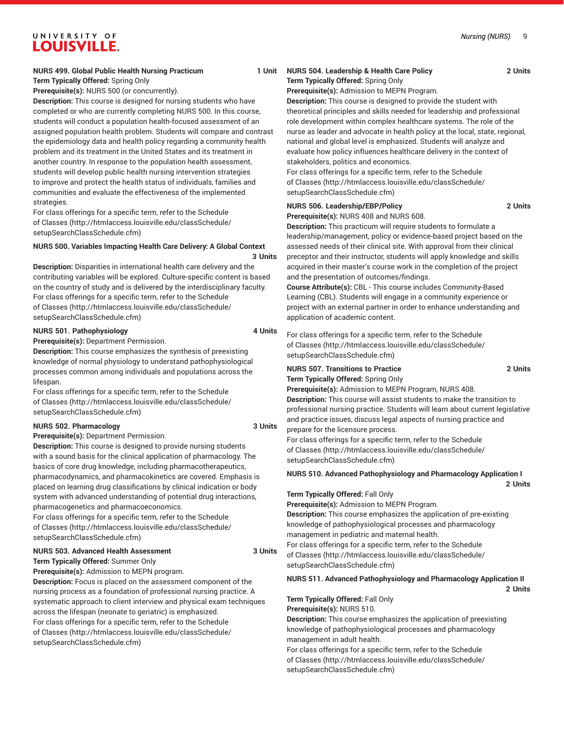#### *Nursing (NURS)* 9

# UNIVERSITY OF **LOUISVILLE.**

# **NURS 499. Global Public Health Nursing Practicum 1 Unit**

### **Term Typically Offered:** Spring Only

**Prerequisite(s):** NURS 500 (or concurrently).

**Description:** This course is designed for nursing students who have completed or who are currently completing NURS 500. In this course, students will conduct a population health-focused assessment of an assigned population health problem. Students will compare and contrast the epidemiology data and health policy regarding a community health problem and its treatment in the United States and its treatment in another country. In response to the population health assessment, students will develop public health nursing intervention strategies to improve and protect the health status of individuals, families and communities and evaluate the effectiveness of the implemented strategies.

For class offerings for a specific term, refer to the [Schedule](http://htmlaccess.louisville.edu/classSchedule/setupSearchClassSchedule.cfm) [of Classes \(http://htmlaccess.louisville.edu/classSchedule/](http://htmlaccess.louisville.edu/classSchedule/setupSearchClassSchedule.cfm) [setupSearchClassSchedule.cfm\)](http://htmlaccess.louisville.edu/classSchedule/setupSearchClassSchedule.cfm)

#### **NURS 500. Variables Impacting Health Care Delivery: A Global Context 3 Units**

**Description:** Disparities in international health care delivery and the contributing variables will be explored. Culture-specific content is based on the country of study and is delivered by the interdisciplinary faculty. For class offerings for a specific term, refer to the [Schedule](http://htmlaccess.louisville.edu/classSchedule/setupSearchClassSchedule.cfm) [of Classes \(http://htmlaccess.louisville.edu/classSchedule/](http://htmlaccess.louisville.edu/classSchedule/setupSearchClassSchedule.cfm) [setupSearchClassSchedule.cfm\)](http://htmlaccess.louisville.edu/classSchedule/setupSearchClassSchedule.cfm)

#### **NURS 501. Pathophysiology 4 Units**

**Prerequisite(s):** Department Permission.

**Description:** This course emphasizes the synthesis of preexisting knowledge of normal physiology to understand pathophysiological processes common among individuals and populations across the lifespan.

For class offerings for a specific term, refer to the [Schedule](http://htmlaccess.louisville.edu/classSchedule/setupSearchClassSchedule.cfm) [of Classes \(http://htmlaccess.louisville.edu/classSchedule/](http://htmlaccess.louisville.edu/classSchedule/setupSearchClassSchedule.cfm) [setupSearchClassSchedule.cfm\)](http://htmlaccess.louisville.edu/classSchedule/setupSearchClassSchedule.cfm)

### **NURS 502. Pharmacology 3 Units**

**Prerequisite(s):** Department Permission.

**Description:** This course is designed to provide nursing students with a sound basis for the clinical application of pharmacology. The basics of core drug knowledge, including pharmacotherapeutics, pharmacodynamics, and pharmacokinetics are covered. Emphasis is placed on learning drug classifications by clinical indication or body system with advanced understanding of potential drug interactions, pharmacogenetics and pharmacoeconomics.

For class offerings for a specific term, refer to the [Schedule](http://htmlaccess.louisville.edu/classSchedule/setupSearchClassSchedule.cfm) [of Classes \(http://htmlaccess.louisville.edu/classSchedule/](http://htmlaccess.louisville.edu/classSchedule/setupSearchClassSchedule.cfm) [setupSearchClassSchedule.cfm\)](http://htmlaccess.louisville.edu/classSchedule/setupSearchClassSchedule.cfm)

#### **NURS 503. Advanced Health Assessment 3 Units**

**Term Typically Offered:** Summer Only

**Prerequisite(s):** Admission to MEPN program.

**Description:** Focus is placed on the assessment component of the nursing process as a foundation of professional nursing practice. A systematic approach to client interview and physical exam techniques across the lifespan (neonate to geriatric) is emphasized. For class offerings for a specific term, refer to the [Schedule](http://htmlaccess.louisville.edu/classSchedule/setupSearchClassSchedule.cfm)

[of Classes \(http://htmlaccess.louisville.edu/classSchedule/](http://htmlaccess.louisville.edu/classSchedule/setupSearchClassSchedule.cfm) [setupSearchClassSchedule.cfm\)](http://htmlaccess.louisville.edu/classSchedule/setupSearchClassSchedule.cfm)

#### **NURS 504. Leadership & Health Care Policy 2 Units Term Typically Offered:** Spring Only

**Prerequisite(s):** Admission to MEPN Program.

**Description:** This course is designed to provide the student with theoretical principles and skills needed for leadership and professional role development within complex healthcare systems. The role of the nurse as leader and advocate in health policy at the local, state, regional, national and global level is emphasized. Students will analyze and evaluate how policy influences healthcare delivery in the context of stakeholders, politics and economics.

For class offerings for a specific term, refer to the [Schedule](http://htmlaccess.louisville.edu/classSchedule/setupSearchClassSchedule.cfm) [of Classes](http://htmlaccess.louisville.edu/classSchedule/setupSearchClassSchedule.cfm) ([http://htmlaccess.louisville.edu/classSchedule/](http://htmlaccess.louisville.edu/classSchedule/setupSearchClassSchedule.cfm) [setupSearchClassSchedule.cfm\)](http://htmlaccess.louisville.edu/classSchedule/setupSearchClassSchedule.cfm)

### **NURS 506. Leadership/EBP/Policy 2 Units**

**Prerequisite(s):** NURS 408 and NURS 608.

**Description:** This practicum will require students to formulate a leadership/management, policy or evidence-based project based on the assessed needs of their clinical site. With approval from their clinical preceptor and their instructor, students will apply knowledge and skills acquired in their master's course work in the completion of the project and the presentation of outcomes/findings.

**Course Attribute(s):** CBL - This course includes Community-Based Learning (CBL). Students will engage in a community experience or project with an external partner in order to enhance understanding and application of academic content.

For class offerings for a specific term, refer to the [Schedule](http://htmlaccess.louisville.edu/classSchedule/setupSearchClassSchedule.cfm) [of Classes](http://htmlaccess.louisville.edu/classSchedule/setupSearchClassSchedule.cfm) ([http://htmlaccess.louisville.edu/classSchedule/](http://htmlaccess.louisville.edu/classSchedule/setupSearchClassSchedule.cfm) [setupSearchClassSchedule.cfm\)](http://htmlaccess.louisville.edu/classSchedule/setupSearchClassSchedule.cfm)

#### **NURS 507. Transitions to Practice 2 Units Term Typically Offered:** Spring Only

**Prerequisite(s):** Admission to MEPN Program, NURS 408. **Description:** This course will assist students to make the transition to professional nursing practice. Students will learn about current legislative and practice issues, discuss legal aspects of nursing practice and prepare for the licensure process.

For class offerings for a specific term, refer to the [Schedule](http://htmlaccess.louisville.edu/classSchedule/setupSearchClassSchedule.cfm) [of Classes](http://htmlaccess.louisville.edu/classSchedule/setupSearchClassSchedule.cfm) ([http://htmlaccess.louisville.edu/classSchedule/](http://htmlaccess.louisville.edu/classSchedule/setupSearchClassSchedule.cfm) [setupSearchClassSchedule.cfm\)](http://htmlaccess.louisville.edu/classSchedule/setupSearchClassSchedule.cfm)

### **NURS 510. Advanced Pathophysiology and Pharmacology Application I**

# **Term Typically Offered:** Fall Only

**Prerequisite(s):** Admission to MEPN Program.

**Description:** This course emphasizes the application of pre-existing knowledge of pathophysiological processes and pharmacology management in pediatric and maternal health.

For class offerings for a specific term, refer to the [Schedule](http://htmlaccess.louisville.edu/classSchedule/setupSearchClassSchedule.cfm) [of Classes](http://htmlaccess.louisville.edu/classSchedule/setupSearchClassSchedule.cfm) ([http://htmlaccess.louisville.edu/classSchedule/](http://htmlaccess.louisville.edu/classSchedule/setupSearchClassSchedule.cfm) [setupSearchClassSchedule.cfm\)](http://htmlaccess.louisville.edu/classSchedule/setupSearchClassSchedule.cfm)

#### **NURS 511. Advanced Pathophysiology and Pharmacology Application II**

**2 Units**

**2 Units**

#### **Term Typically Offered:** Fall Only

**Prerequisite(s):** NURS 510.

**Description:** This course emphasizes the application of preexisting knowledge of pathophysiological processes and pharmacology management in adult health.